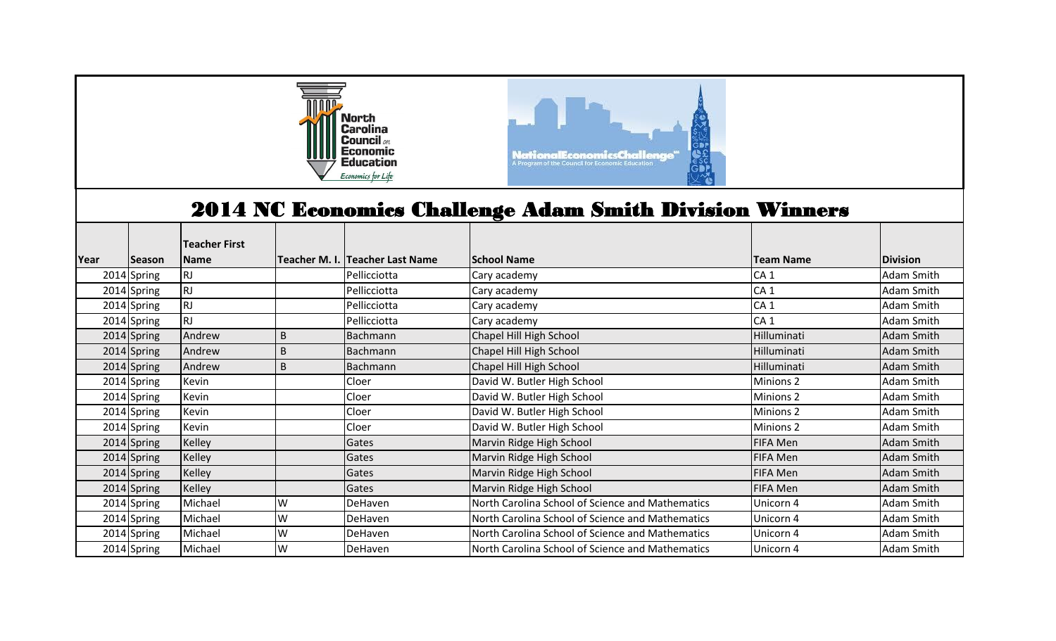